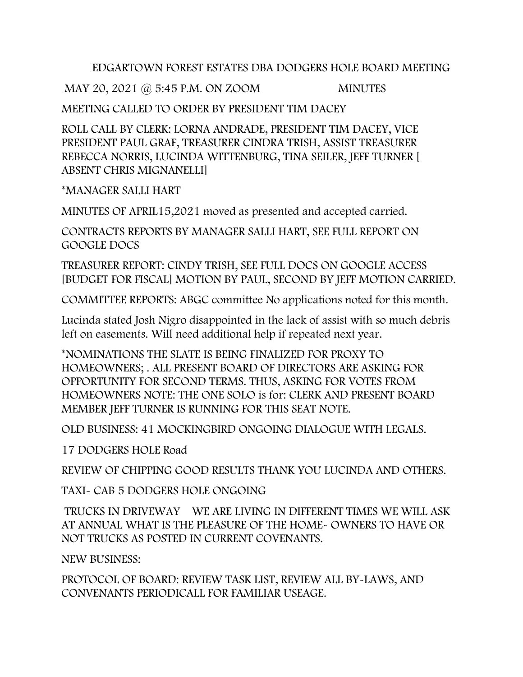## EDGARTOWN FOREST ESTATES DBA DODGERS HOLE BOARD MEETING

MAY 20, 2021 @ 5:45 P.M. ON ZOOM MINUTES

MEETING CALLED TO ORDER BY PRESIDENT TIM DACEY

ROLL CALL BY CLERK: LORNA ANDRADE, PRESIDENT TIM DACEY, VICE PRESIDENT PAUL GRAF, TREASURER CINDRA TRISH, ASSIST TREASURER REBECCA NORRIS, LUCINDA WITTENBURG, TINA SEILER, JEFF TURNER [ ABSENT CHRIS MIGNANELLI]

\*MANAGER SALLI HART

MINUTES OF APRIL15,2021 moved as presented and accepted carried.

CONTRACTS REPORTS BY MANAGER SALLI HART, SEE FULL REPORT ON GOOGLE DOCS

TREASURER REPORT: CINDY TRISH, SEE FULL DOCS ON GOOGLE ACCESS [BUDGET FOR FISCAL] MOTION BY PAUL, SECOND BY JEFF MOTION CARRIED.

COMMITTEE REPORTS: ABGC committee No applications noted for this month.

Lucinda stated Josh Nigro disappointed in the lack of assist with so much debris left on easements. Will need additional help if repeated next year.

\*NOMINATIONS THE SLATE IS BEING FINALIZED FOR PROXY TO HOMEOWNERS; . ALL PRESENT BOARD OF DIRECTORS ARE ASKING FOR OPPORTUNITY FOR SECOND TERMS. THUS, ASKING FOR VOTES FROM HOMEOWNERS NOTE: THE ONE SOLO is for: CLERK AND PRESENT BOARD MEMBER JEFF TURNER IS RUNNING FOR THIS SEAT NOTE.

OLD BUSINESS: 41 MOCKINGBIRD ONGOING DIALOGUE WITH LEGALS.

17 DODGERS HOLE Road

REVIEW OF CHIPPING GOOD RESULTS THANK YOU LUCINDA AND OTHERS.

TAXI- CAB 5 DODGERS HOLE ONGOING

TRUCKS IN DRIVEWAY WE ARE LIVING IN DIFFERENT TIMES WE WILL ASK AT ANNUAL WHAT IS THE PLEASURE OF THE HOME- OWNERS TO HAVE OR NOT TRUCKS AS POSTED IN CURRENT COVENANTS.

NEW BUSINESS:

PROTOCOL OF BOARD: REVIEW TASK LIST, REVIEW ALL BY-LAWS, AND CONVENANTS PERIODICALL FOR FAMILIAR USEAGE.